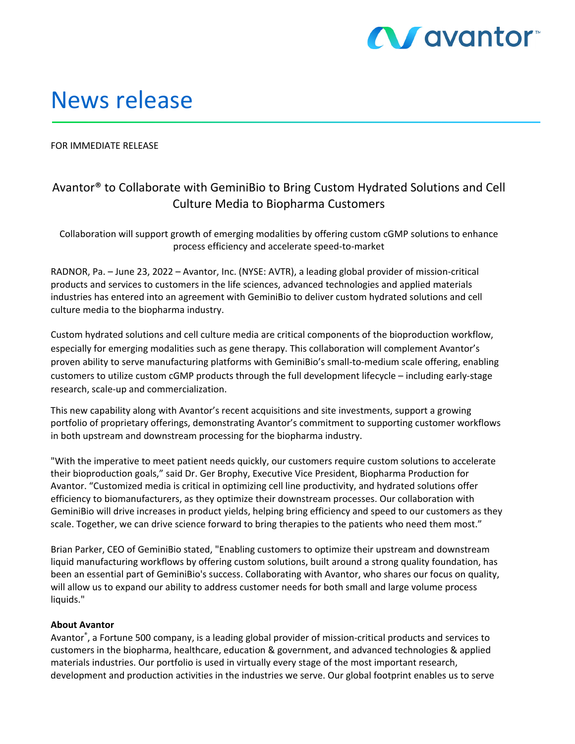

## News release

FOR IMMEDIATE RELEASE

## Avantor® to Collaborate with GeminiBio to Bring Custom Hydrated Solutions and Cell Culture Media to Biopharma Customers

Collaboration will support growth of emerging modalities by offering custom cGMP solutions to enhance process efficiency and accelerate speed‐to‐market

RADNOR, Pa. – June 23, 2022 – Avantor, Inc. (NYSE: AVTR), a leading global provider of mission‐critical products and services to customers in the life sciences, advanced technologies and applied materials industries has entered into an agreement with GeminiBio to deliver custom hydrated solutions and cell culture media to the biopharma industry.

Custom hydrated solutions and cell culture media are critical components of the bioproduction workflow, especially for emerging modalities such as gene therapy. This collaboration will complement Avantor's proven ability to serve manufacturing platforms with GeminiBio's small-to-medium scale offering, enabling customers to utilize custom cGMP products through the full development lifecycle – including early‐stage research, scale‐up and commercialization.

This new capability along with Avantor's recent acquisitions and site investments, support a growing portfolio of proprietary offerings, demonstrating Avantor's commitment to supporting customer workflows in both upstream and downstream processing for the biopharma industry.

"With the imperative to meet patient needs quickly, our customers require custom solutions to accelerate their bioproduction goals," said Dr. Ger Brophy, Executive Vice President, Biopharma Production for Avantor. "Customized media is critical in optimizing cell line productivity, and hydrated solutions offer efficiency to biomanufacturers, as they optimize their downstream processes. Our collaboration with GeminiBio will drive increases in product yields, helping bring efficiency and speed to our customers as they scale. Together, we can drive science forward to bring therapies to the patients who need them most."

Brian Parker, CEO of GeminiBio stated, "Enabling customers to optimize their upstream and downstream liquid manufacturing workflows by offering custom solutions, built around a strong quality foundation, has been an essential part of GeminiBio's success. Collaborating with Avantor, who shares our focus on quality, will allow us to expand our ability to address customer needs for both small and large volume process liquids."

## **About Avantor**

Avantor® , a Fortune 500 company, is a leading global provider of mission‐critical products and services to customers in the biopharma, healthcare, education & government, and advanced technologies & applied materials industries. Our portfolio is used in virtually every stage of the most important research, development and production activities in the industries we serve. Our global footprint enables us to serve